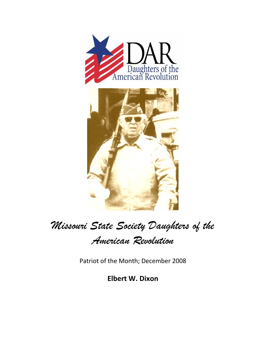

## *Missouri State Society Daughters of the*

*American Revolution* 

Patriot of the Month; December 2008

**Elbert W. Dixon**